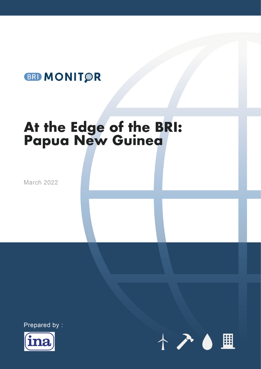# **BRI MONIT R**

# At the Edge of the BRI:<br>Papua New Guinea

March 2022





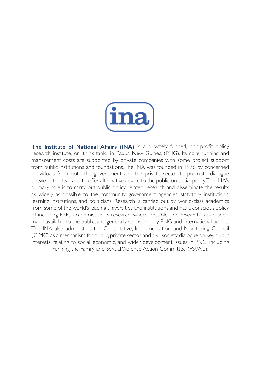

**The Institute of National Affairs (INA)** is a privately funded, non-profit policy research institute, or "think tank," in Papua New Guinea (PNG). Its core running and management costs are supported by private companies with some project support from public institutions and foundations. The INA was founded in 1976 by concerned individuals from both the government and the private sector to promote dialogue between the two and to offer alternative advice to the public on social policy. The INA's primary role is to carry out public policy related research and disseminate the results as widely as possible to the community, government agencies, statutory institutions, learning institutions, and politicians. Research is carried out by world-class academics from some of the world's leading universities and institutions and has a conscious policy of including PNG academics in its research, where possible. The research is published, made available to the public, and generally sponsored by PNG and international bodies. The INA also administers the Consultative, Implementation, and Monitoring Council (CIMC) as a mechanism for public, private sector, and civil society dialogue on key public interests relating to social, economic, and wider development issues in PNG, including running the Family and Sexual Violence Action Committee (FSVAC).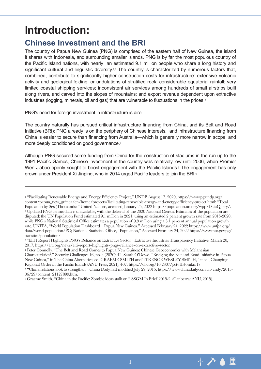# **Introduction:**

# **Chinese Investment and the BRI**

The country of Papua New Guinea (PNG) is comprised of the eastern half of New Guinea, the island it shares with Indonesia, and surrounding smaller islands. PNG is by far the most populous country of the Pacific Island nations, with nearly an estimated 9.1 million people who share a long history and significant cultural and linguistic diversity.<sup>1,2</sup> The country is characterized by numerous factors that, combined, contribute to significantly higher construction costs for infrastructure: extensive volcanic activity and geological folding, or undulations of stratified rock; considerable equatorial rainfall; very limited coastal shipping services; inconsistent air services among hundreds of small airstrips built along rivers, and carved into the slopes of mountains; and export revenue dependent upon extractive industries (logging, minerals, oil and gas) that are vulnerable to fluctuations in the prices.<sup>3</sup>

PNG's need for foreign investment in infrastructure is dire.

The country naturally has pursued critical infrastructure financing from China, and its Belt and Road Initiative (BRI): PNG already is on the periphery of Chinese interests, and infrastructure financing from China is easier to secure than financing from Australia—which is generally more narrow in scope, and more deeply conditioned on good governance.<sup>4</sup>

Although PNG secured some funding from China for the construction of stadiums in the run-up to the 1991 Pacific Games, Chinese investment in the country was relatively low until 2006, when Premier Wen Jiabao openly sought to boost engagement with the Pacific Islands.<sup>5</sup> The engagement has only grown under President Xi Jinping, who in 2014 urged Pacific leaders to join the BRI.<sup>6</sup>

<sup>4</sup> Peter Connolly, "The Belt and Road Comes to Papua New Guinea: Chinese Geoeconomics with Melanesian Characteristics?," Security Challenges 16, no. 4 (2020): 42; Sarah O'Dowd, "Bridging the Belt and Road Initiative in Papua New Guinea," in The China Alternative, ed. GRAEME SMITH and TERENCE WESLEY-SMITH, 1st ed., Changing Regional Order in the Pacific Islands (ANU Press, 2021), 407, https://doi.org/10.2307/j.ctv1h45mkn.17.



<sup>1</sup> "Facilitating Renewable Energy and Energy Efficiency Project," UNDP, August 17, 2020, https://www.pg.undp.org/ content/papua\_new\_guinea/en/home/projects/facilitating-renewable-energy-and-energy-efficiency-project.html; "Total Population by Sex (Thousands)," United Nations, accessed January 25, 2022 https://population.un.org/wpp/DataQuery/. 2 Updated PNG census data is unavailable, with the deferral of the 2020 National Census. Estimates of the population are disputed: the UN Population Fund estimated 9.1 million in 2021, using an estimated 2 percent growth rate from 2015-2020, while PNG's National Statistical Office estimates a population of 9.9 million using a 3.1 percent annual population growth rate. UNFPA, "World Population Dashboard – Papua New Guinea," Accessed February 24, 2022 https://www.unfpa.org/ data/world-population/PG; National Statistical Office, "Population," Accessed February 24, 2022 https://www.nso.gov.pg/ statistics/population/

<sup>&</sup>lt;sup>3</sup> "EITI Report Highlights PNG's Reliance on Extractive Sector," Extractive Industries Transparency Initiative, March 20, 2017, https://eiti.org/news/eiti-report-highlights-pngs-reliance-on-extractive-sector.

<sup>5 &</sup>quot;China relations look to strengthen," China Daily, last modified July 29, 2015, https://www.chinadaily.com.cn/cndy/2015- 06/29/content\_21127899.htm.

<sup>6</sup> Graeme Smith, "China in the Pacific: Zombie ideas stalk on," SSGM In Brief 2015-2, (Canberra: ANU, 2015).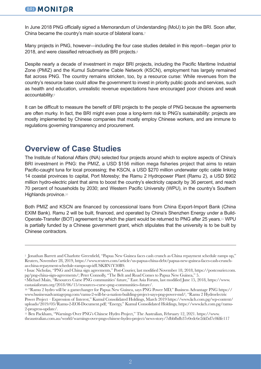#### **BRI MONITOR**

In June 2018 PNG officially signed a Memorandum of Understanding (MoU) to join the BRI. Soon after, China became the country's main source of bilateral loans.7

Many projects in PNG, however—including the four case studies detailed in this report—began prior to 2018, and were classified retroactively as BRI projects.<sup>8</sup>

Despite nearly a decade of investment in major BRI projects, including the Pacific Maritime Industrial Zone (PMIZ) and the Kumul Submarine Cable Network (KSCN), employment has largely remained flat across PNG. The country remains stricken, too, by a resource curse: While revenues from the country's resource base could allow the government to invest in priority public goods and services, such as health and education, unrealistic revenue expectations have encouraged poor choices and weak accountability.9

It can be difficult to measure the benefit of BRI projects to the people of PNG because the agreements are often murky. In fact, the BRI might even pose a long-term risk to PNG's sustainability: projects are mostly implemented by Chinese companies that mostly employ Chinese workers, and are immune to regulations governing transparency and procurement.

## **Overview of Case Studies**

The Institute of National Affairs (INA) selected four projects around which to explore aspects of China's BRI investment in PNG: the PMIZ, a USD \$156 million mega fisheries project that aims to retain Pacific-caught tuna for local processing; the KSCN, a USD \$270 million underwater optic cable linking 14 coastal provinces to capital, Port Moresby; the Ramu 2 Hydropower Plant (Ramu 2), a USD \$902 million hydro-electric plant that aims to boost the country's electricity capacity by 36 percent, and reach 70 percent of households by 2030; and Western Pacific University (WPU), in the country's Southern Highlands province.<sup>10</sup>

Both PMIZ and KSCN are financed by concessional loans from China Export-Import Bank (China EXIM Bank). Ramu 2 will be built, financed, and operated by China's Shenzhen Energy under a Build-Operate-Transfer (BOT) agreement by which the plant would be returned to PNG after 25 years.11 WPU is partially funded by a Chinese government grant, which stipulates that the university is to be built by Chinese contractors.

<sup>7</sup> Jonathan Barrett and Charlotte Greenfield, "Papua New Guinea faces cash crunch as China repayment schedule ramps up," Reuters, November 28, 2019, https://www.reuters.com/article/us-papua-china-debt/papua-new-guinea-faces-cash-crunchas-china-repayment-schedule-ramps-up-idUSKBN1Y30B9.

<sup>8</sup> Issac Nicholas, "PNG and China sign agreements," Post-Courier, last modified November 18, 2018, https://postcourier.com. pg/png-china-sign-agreements/; Peter Connolly, "The Belt and Road Comes to Papua New Guinea," 5.

<sup>9</sup> Michael Main, "Resources Curse PNG communities' future," East Asia Forum, last modified June 15, 2018, https://www. eastasiaforum.org/2018/06/15/resources-curse-png-communities-future/. 10 "Ramu 2 hydro will be a gamechanger for Papua New Guinea, says PNG Power MD," Business Advantage PNG https://

www.businessadvantagepng.com/ramu-2-will-be-a-nation-building-project-says-png-power-md/; "Ramu 2 Hydroelectric Power Project – Expression of Interest," Kumul Consolidated Holdings, March 2019 https://www.kch.com.pg/wp-content/ uploads/2019/03/Ramu-2-EOI-Document.pdf; "Energy," Kumul Consolidated Holdings, https://www.kch.com.pg/ramu-2-progress-update/.

<sup>11</sup> Ben Packham, "Warnings Over PNG's Chinese Hydro Project," The Australian, February 12, 2021. https://www. theaustralian.com.au/world/warnings-over-pngs-chinese-hydro-project/news-story/7dbbfbdb37e0edc6e2dd5d7c0fdfe117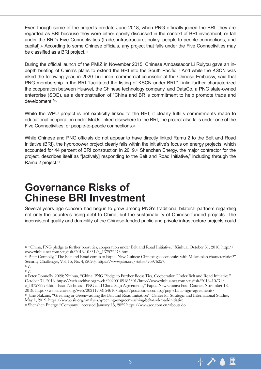Even though some of the projects predate June 2018, when PNG officially joined the BRI, they are regarded as BRI because they were either openly discussed in the context of BRI investment, or fall under the BRI's Five Connectivities (trade, infrastructure, policy, people-to-people connections, and capital).12 According to some Chinese officials, any project that falls under the Five Connectivities may be classified as a BRI project.<sup>13</sup>

During the official launch of the PMIZ in November 2015, Chinese Ambassador Li Ruiyou gave an indepth briefing of China's plans to extend the BRI into the South Pacific.14 And while the KSCN was inked the following year, in 2020 Liu Linlin, commercial counselor at the Chinese Embassy, said that PNG membership in the BRI "facilitated the listing of KSCN under BRI." Linlin further characterized the cooperation between Huawei, the Chinese technology company, and DataCo, a PNG state-owned enterprise (SOE), as a demonstration of "China and BRI's commitment to help promote trade and development."<sup>15</sup>

While the WPU project is not explicitly linked to the BRI, it clearly fulfills commitments made to educational cooperation under MoUs linked elsewhere to the BRI; the project also falls under one of the Five Connectivities, or people-to-people connections.<sup>16</sup>

While Chinese and PNG officials do not appear to have directly linked Ramu 2 to the Belt and Road Initiative (BRI), the hydropower project clearly falls within the initiative's focus on energy projects, which accounted for 44 percent of BRI construction in 2019.17 Shenzhen Energy, the major contractor for the project, describes itself as "[actively] responding to the Belt and Road Initiative," including through the Ramu 2 project.<sup>18</sup>

# **Governance Risks of Chinese BRI Investment**

Several years ago concern had begun to grow among PNG's traditional bilateral partners regarding not only the country's rising debt to China, but the sustainability of Chinese-funded projects. The inconsistent quality and durability of the Chinese-funded public and private infrastructure projects could

13 Peter Connolly, "The Belt and Road comes to Papua New Guinea: Chinese geoeconomics with Melanesian characteristics?" Security Challenges, Vol. 16, No. 4, (2020), https://www.jstor.org/stable/26976257. 14 ??

16 Peter Connolly, 2020; Xinhua, "China, PNG Pledge to Further Boost Ties, Cooperation Under Belt and Road Initiative," October 31, 2018. https://web.archive.org/web/20200109185301/http://www.xinhuanet.com/english/2018-10/31/ c\_137572273.htm; Isaac Nicholas, "PNG and China Sign Agreements," Papua New Guinea Post-Courier, November 18,<br>2018. https://web.archive.org/web/20211208154616/https://postcourier.com.pg/png-china-sign-agreements/ <sup>17</sup> Jane Nakano, "Greening or Greenwashing the Belt and Road Initiative?" Center for Strategic and International Studies,

May 1, 2019, https://www.csis.org/analysis/greening-or-greenwashing-belt-and-road-initiative.

18 Shenzhen Energy, "Company," accessed January 15, 2022 https://www.sec.com.cn/abouts.do



<sup>12 &</sup>quot;China, PNG pledge to further boost ties, cooperation under Belt and Road Initiative," Xinhua, October 31, 2018, http:// www.xinhuanet.com/english/2018-10/31/c\_137572273.htm

<sup>15 ??</sup>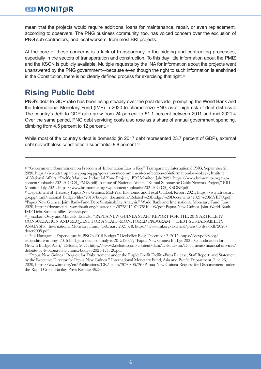mean that the projects would require additional loans for maintenance, repair, or even replacement, according to observers. The PNG business community, too, has voiced concern over the exclusion of PNG sub-contractors, and local workers, from most BRI projects.

At the core of these concerns is a lack of transparency in the bidding and contracting processes, especially in the sectors of transportation and construction. To this day little information about the PMIZ and the KSCN is publicly available. Multiple requests by the INA for information about the projects went unanswered by the PNG government—because even though the right to such information is enshrined in the Constitution, there is no clearly defined process for exercising that right.<sup>19</sup>

# **Rising Public Debt**

PNG's debt-to-GDP ratio has been rising steadily over the past decade, prompting the World Bank and the International Monetary Fund (IMF) in 2020 to characterize PNG as at high risk of debt distress.<sup>20</sup> The country's debt-to-GDP ratio grew from 24 percent to 51.1 percent between 2011 and mid-2021.<sup>21</sup> Over the same period, PNG debt servicing costs also rose as a share of annual government spending, climbing from 4.5 percent to 12 percent.<sup>22</sup>

While most of the country's debt is domestic (in 2017 debt represented 23.7 percent of GDP), external debt nevertheless constitutes a substantial 8.8 percent.<sup>23</sup>

23 "Papua New Guinea : Request for Disbursement under the Rapid Credit Facility-Press Release; Staff Report; and Statement by the Executive Director for Papua New Guinea," International Monetary Fund, Asia and Pacific Department, June 26, 2020, https://www.imf.org/en/Publications/CR/Issues/2020/06/26/Papua-New-Guinea-Request-for-Disbursement-underthe-Rapid-Credit-Facility-Press-Release-49536

<sup>19 &</sup>quot;Government Commitment on Freedom of Information Law is Key," Transparency International PNG, September 28, 2020. https://www.transparencypng.org.pg/government-commitment-on-freedom-of-information-law-is-key/; Institute of National Affairs, "Pacific Maritime Industrial Zone Project," BRI Monitor, July 2021. https://www.brimonitor.org/wpcontent/uploads/2021/07/CS\_PMIZ.pdf; Institute of National Affairs, "Kumul Submarine Cable Network Project," BRI Monitor, July 2021. https://www.brimonitor.org/wp-content/uploads/2021/07/CS\_KSCNP.pdf

<sup>20</sup> Department of Treasury Papua New Guinea, Mid-Year Economic and Fiscal Outlook Report 2021, https://www.treasury. gov.pg/html/national\_budget/files/2013/budget\_documents/Related%20Budget%20Documents/2021%20MYEFO.pdf; "Papua New Guinea: Joint Bank-Fund Debt Sustainability Analysis," World Bank and International Monetary Fund, June 2020, https://documents1.worldbank.org/curated/en/672821597432840208/pdf/Papua-New-Guinea-Joint-World-Bank-IMF-Debt-Sustainability-Analysis.pdf.

<sup>21</sup> Jonathan Ostry and Marcello Estevão, "PAPUA NEW GUINEA STAFF REPORT FOR THE 2019 ARTICLE IV CONSULTATION AND REQUEST FOR A STAFF-MONITORED PROGRAM — DEBT SUSTAINABILITY ANALYSIS," International Monetary Fund, (February 2021): 8, https://www.imf.org/external/pubs/ft/dsa/pdf/2020/ dsacr2095.pdf.

<sup>22</sup> Paul Flanagan, "Expenditure in PNG's 2016 Budget," DevPolicy Blog, December 2, 2015, https://devpolicy.org/ expenditure-in-pngs-2016-budget-a-detailed-analysis-20151202/; "Papua New Guinea Budget 2021: Consolidation for Growth Budget Alert," Deloitte, 2021, https://www2.deloitte.com/content/dam/Deloitte/au/Documents/financial-services/ deloitte-pg-fs-papua-new-guinea-budget-2021-171120.pdf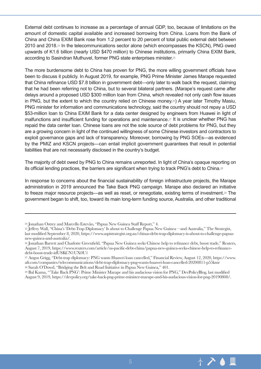External debt continues to increase as a percentage of annual GDP, too, because of limitations on the amount of domestic capital available and increased borrowing from China. Loans from the Bank of China and China EXIM Bank rose from 1.2 percent to 20 percent of total public external debt between 2010 and 2018.24 In the telecommunications sector alone (which encompasses the KSCN), PNG owed upwards of K1.6 billion (nearly USD \$470 million) to Chinese institutions, primarily China EXIM Bank, according to Sasindran Muthuvel, former PNG state enterprises minister.<sup>25</sup>

The more burdensome debt to China has proven for PNG, the more willing government officials have been to discuss it publicly. In August 2019, for example, PNG Prime Minister James Marape requested that China refinance USD \$7.8 billion in government debt—only later to walk back the request, claiming that he had been referring not to China, but to several bilateral partners. (Marape's request came after delays around a proposed USD \$300 million loan from China, which revealed not only cash flow issues in PNG, but the extent to which the country relied on Chinese money.26) A year later Timothy Masiu, PNG minister for information and communications technology, said the country should not repay a USD \$53-million loan to China EXIM Bank for a data center designed by engineers from Huawei in light of malfunctions and insufficient funding for operations and maintenance.27 It is unclear whether PNG has repaid the data center loan. Chinese loans are not the sole source of debt problems for PNG, but they are a growing concern in light of the continued willingness of some Chinese investors and contractors to exploit governance gaps and lack of transparency. Moreover, borrowing by PNG SOEs—as evidenced by the PMIZ and KSCN projects—can entail implicit government guarantees that result in potential liabilities that are not necessarily disclosed in the country's budget.

The majority of debt owed by PNG to China remains unreported. In light of China's opaque reporting on its official lending practices, the barriers are significant when trying to track PNG's debt to China.<sup>28</sup>

In response to concerns about the financial sustainability of foreign infrastructure projects, the Marape administration in 2019 announced the Take Back PNG campaign. Marape also declared an initiative to freeze major resource projects—as well as reset, or renegotiate, existing terms of investment.29 The government began to shift, too, toward its main long-term funding source, Australia, and other traditional



<sup>24</sup> Jonathan Ostrey and Marcello Estevão, "Papua New Guinea Staff Report," 4.

<sup>25</sup> Jeffery Wall, "China's 'Debt-Trap Diplomacy' Is about to Challenge Papua New Guinea—and Australia," The Strategist, last modified September 8, 2020, https://www.aspistrategist.org.au/chinas-debt-trap-diplomacy-is-about-to-challenge-papuanew-guinea-and-australia/.

<sup>26</sup> Jonathan Barrett and Charlotte Greenfield, "Papua New Guinea seeks Chinese help to refinance debt, boost trade," Reuters, August 7, 2019, https://www.reuters.com/article/us-pacific-debt-china/papua-new-guinea-seeks-chinese-help-to-refinancedebt-boost-trade-idUSKCN1UX0U1

<sup>27</sup> Angus Grigg, "Debt-trap diplomacy: PNG wants Huawei loan cancelled," Financial Review, August 12, 2020, https://www. afr.com/companies/telecommunications/debt-trap-diplomacy-png-wants-huawei-loan-cancelled-20200811-p55kmr 28 Sarah O'Dowd, "Bridging the Belt and Road Initiative in Papua New Guinea," 401.

<sup>29</sup> Bal Kama, "'Take Back PNG': Prime Minister Marape and his audacious vision for PNG," DevPolicyBlog, last modified August 9, 2019, https://devpolicy.org/take-back-png-prime-minister-marape-and-his-audacious-vision-for-png-20190808/.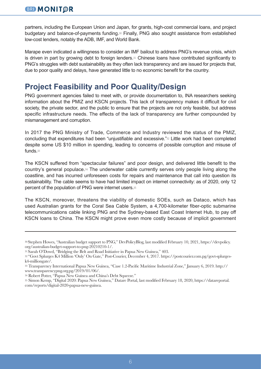partners, including the European Union and Japan, for grants, high-cost commercial loans, and project budgetary and balance-of-payments funding.30 Finally, PNG also sought assistance from established low-cost lenders, notably the ADB, IMF, and World Bank.

Marape even indicated a willingness to consider an IMF bailout to address PNG's revenue crisis, which is driven in part by growing debt to foreign lenders.31 Chinese loans have contributed significantly to PNG's struggles with debt sustainability as they often lack transparency and are issued for projects that, due to poor quality and delays, have generated little to no economic benefit for the country.

# **Project Feasibility and Poor Quality/Design**

PNG government agencies failed to meet with, or provide documentation to, INA researchers seeking information about the PMIZ and KSCN projects. This lack of transparency makes it difficult for civil society, the private sector, and the public to ensure that the projects are not only feasible, but address specific infrastructure needs. The effects of the lack of transparency are further compounded by mismanagement and corruption.

In 2017 the PNG Ministry of Trade, Commerce and Industry reviewed the status of the PMIZ, concluding that expenditures had been "unjustifiable and excessive."32 Little work had been completed despite some US \$10 million in spending, leading to concerns of possible corruption and misuse of funds.<sup>33</sup>

The KSCN suffered from "spectacular failures" and poor design, and delivered little benefit to the country's general populace.34 The underwater cable currently serves only people living along the coastline, and has incurred unforeseen costs for repairs and maintenance that call into question its sustainability. The cable seems to have had limited impact on internet connectivity: as of 2020, only 12 percent of the population of PNG were internet users.<sup>35</sup>

The KSCN, moreover, threatens the viability of domestic SOEs, such as Dataco, which has used Australian grants for the Coral Sea Cable System, a 4,700-kilometer fiber-optic submarine telecommunications cable linking PNG and the Sydney-based East Coast Internet Hub, to pay off KSCN loans to China. The KSCN might prove even more costly because of implicit government

<sup>30</sup> Stephen Howes, "Australian budget support to PNG," DevPolicyBlog, last modified February 10, 2021, https://devpolicy. org/australian-budget-support-to-png-20210210-1/.

<sup>31</sup> Sarah O'Dowd, "Bridging the Belt and Road Initiative in Papua New Guinea," 403.

<sup>32 &</sup>quot;Govt Splurges K4 Million 'Only' On Gate," Post-Courier, December 4, 2017. https://postcourier.com.pg/govt-splurgesk4-milliongate/.

<sup>33</sup> Transparency International Papua New Guinea, "Case 1.2-Pacific Maritime Industrial Zone," January 6, 2019. http:// www.transparencypng.org.pg/2019/01/06/.

<sup>34</sup> Robert Potter, "Papua New Guinea and China's Debt Squeeze."

<sup>35</sup> Simon Kemp, "Digital 2020: Papua New Guinea," Datare Portal, last modified February 18, 2020, https://datareportal. com/reports/digital-2020-papua-new-guinea.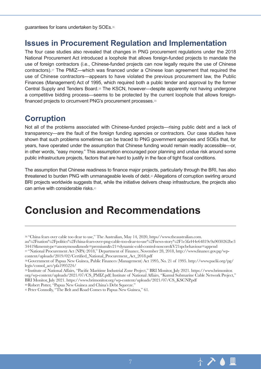guarantees for loans undertaken by SOEs.<sup>36</sup>

#### **Issues in Procurement Regulation and Implementation**

The four case studies also revealed that changes in PNG procurement regulations under the 2018 National Procurement Act introduced a loophole that allows foreign-funded projects to mandate the use of foreign contractors (i.e., Chinese-funded projects can now legally require the use of Chinese contractors).37 The PMIZ—which was financed under a Chinese loan agreement that required the use of Chinese contractors—appears to have violated the previous procurement law, the Public Finances (Management) Act of 1995, which required both a public tender and approval by the former Central Supply and Tenders Board.38 The KSCN, however—despite apparently not having undergone a competitive bidding process—seems to be protected by the current loophole that allows foreignfinanced projects to circumvent PNG's procurement processes.<sup>39</sup>

## **Corruption**

Not all of the problems associated with Chinese-funded projects—rising public debt and a lack of transparency—are the fault of the foreign funding agencies or contractors. Our case studies have shown that such problems sometimes can be traced to PNG government agencies and SOEs that, for years, have operated under the assumption that Chinese funding would remain readily accessible—or, in other words, "easy money." This assumption encouraged poor planning and undue risk around some public infrastructure projects, factors that are hard to justify in the face of tight fiscal conditions.

The assumption that Chinese readiness to finance major projects, particularly through the BRI, has also threatened to burden PNG with unmanageable levels of debt.<sup>40</sup> Allegations of corruption swirling around BRI projects worldwide suggests that, while the initiative delivers cheap infrastructure, the projects also can arrive with considerable risks.<sup>41</sup>

# **Conclusion and Recommendations**

au%2Fnation%2Fpolitics%2Fchina-fears-over-png-cable-too-dear-to-use%2Fnews-story%2F1e5fa444e64819c9a9030262be3 34419&memtype=anonymous&mode=premium&v21=dynamic-cold-control-noscore&V21spcbehaviour=append

37 "National Procurement Act (NPA) 2018," Department of Finance, November 28, 2018, http://www.finance.gov.pg/wpcontent/uploads/2019/02/Certified\_National\_Procurement\_Act\_2018.pdf

39 Institute of National Affairs, "Pacific Maritime Industrial Zone Project," BRI Monitor, July 2021. https://www.brimonitor. org/wp-content/uploads/2021/07/CS\_PMIZ.pdf; Institute of National Affairs, "Kumul Submarine Cable Network Project," BRI Monitor, July 2021. https://www.brimonitor.org/wp-content/uploads/2021/07/CS\_KSCNP.pdf

40 Robert Potter, "Papua New Guinea and China's Debt Squeeze."



<sup>36 &</sup>quot;China fears over cable too dear to use," The Australian, May 14, 2020, https//www.theaustralian.com.

<sup>38</sup> Government of Papua New Guinea, Public Finances (Management) Act 1995, No. 21 of 1995. http://www.paclii.org/pg/ legis/consol\_act/pfa1995224/

<sup>41</sup> Peter Connolly, "The Belt and Road Comes to Papua New Guinea," 61.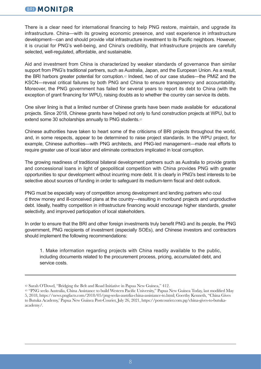#### **BRI MONITOR**

There is a clear need for international financing to help PNG restore, maintain, and upgrade its infrastructure. China—with its growing economic presence, and vast experience in infrastructure development—can and should provide vital infrastructure investment to its Pacific neighbors. However, it is crucial for PNG's well-being, and China's credibility, that infrastructure projects are carefully selected, well-regulated, affordable, and sustainable.

Aid and investment from China is characterized by weaker standards of governance than similar support from PNG's traditional partners, such as Australia, Japan, and the European Union. As a result, the BRI harbors greater potential for corruption.<sup>42</sup> Indeed, two of our case studies—the PMIZ and the KSCN—reveal critical failures by both PNG and China to ensure transparency and accountability. Moreover, the PNG government has failed for several years to report its debt to China (with the exception of grant financing for WPU), raising doubts as to whether the country can service its debts.

One silver lining is that a limited number of Chinese grants have been made available for educational projects. Since 2018, Chinese grants have helped not only to fund construction projects at WPU, but to extend some 30 scholarships annually to PNG students.<sup>43</sup>

Chinese authorities have taken to heart some of the criticisms of BRI projects throughout the world, and, in some respects, appear to be determined to raise project standards. In the WPU project, for example, Chinese authorities—with PNG architects, and PNG-led management—made real efforts to require greater use of local labor and eliminate contractors implicated in local corruption.

The growing readiness of traditional bilateral development partners such as Australia to provide grants and concessional loans in light of geopolitical competition with China provides PNG with greater opportunities to spur development without incurring more debt. It is clearly in PNG's best interests to be selective about sources of funding in order to safeguard its medium-term fiscal and debt outlook.

PNG must be especially wary of competition among development and lending partners who coul d throw money and ill-conceived plans at the country—resulting in moribund projects and unproductive debt. Ideally, healthy competition in infrastructure financing would encourage higher standards, greater selectivity, and improved participation of local stakeholders.

In order to ensure that the BRI and other foreign investments truly benefit PNG and its people, the PNG government, PNG recipients of investment (especially SOEs), and Chinese investors and contractors should implement the following recommendations:

1. Make information regarding projects with China readily available to the public, including documents related to the procurement process, pricing, accumulated debt, and service costs.

<sup>42</sup> Sarah O'Dowd, "Bridging the Belt and Road Initiative in Papua New Guinea," 412.

<sup>43 &</sup>quot;PNG seeks Australia, China Assistance to build Western Pacific University," Papua New Guinea Today, last modified May 5, 2018, https://news.pngfacts.com/2018/05/png-seeks-austrlia-china-assistance-to.html; Goerthy Kenneth, "China Gives to Butuka Academy,' Papua New Guinea Post-Courier, July 26, 2021, https://postcourier.com.pg/china-gives-to-butukaacademy/.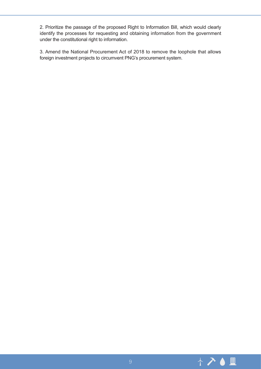2. Prioritize the passage of the proposed Right to Information Bill, which would clearly identify the processes for requesting and obtaining information from the government under the constitutional right to information.

3. Amend the National Procurement Act of 2018 to remove the loophole that allows foreign investment projects to circumvent PNG's procurement system.

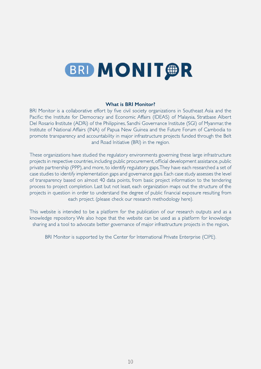# **BRI MONIT OR**

#### **What is BRI Monitor?**

by five civil society organizations in Southeast Asia and the<br>and Economic Affairs (IDEAS) of Malaysia Strathase Albert Pacific: the Institute for Democracy and Economic Affairs (IDEAS) of Malays<br>Del Rosario Institute (ADRi) of the Philippines Sandhi Governance Institute (S ADRi) of the Philippines, Sandhi Governance Institute (SGI) of Myanmar, the<br>ffairs (INA) of Papua New Guinea and the Future Forum of Cambodia to Institute of National Affairs (INA) of Papua New Guinea and the Future Forum of promote transparency and accountability in major infrastructure projects funded the promote transparency and accountability in major infrastructure projects funded through the Belt<br>and Road Initiative (BRI) in the region 2L- $\sqrt{2}$  $\mathsf{Id}\,\mathsf{Road}\,\mathsf{Init}$  in the region.

These organizations have studied the regulatory environments governing these large infrastructure<br>projects in respective countries, including public procurement, official development assistance, public private partnership (PPP), and more, to identify regulatory gaps. They have each researched a set of<br>case studies to identify implementation gaps and governance gaps. Each case study assesses the level Experience, and governance gaps. Each case study assesses the level<br>40 data points from basic project information to the tendering of transparency based on almost 40 data points, from basic project information to the tendering<br>process to project completion Last but not least each organization maps out the structure of the process to project completion. Last but not least, each organization maps out the structure of the<br>projects in question in order to understand the degree of public financial exposure resulting from projects in question in order to understand the degree of public financial ex<br>each project (please check our research methodology her  $\mathcal{L}$  $\overline{\phantom{a}}$ each project. (please check our research methodology here). &LVWLV&#WL--

This website is intended to be a platform for the publication of our research ou<br>knowledge repository We also bope that the website can be used as a platform The procedure of presence we can be used as a platform for knowledge<br>cate better governance of major infrastructure projects in the region sharing and a tool to advocate better governance of major infrastructure projects in the region.  $\mathcal{O}$  $\mathcal{L}$ LWL LWL LWL

LWW&22rted by the Center for International Private Enterprise (CIPE).<br>'